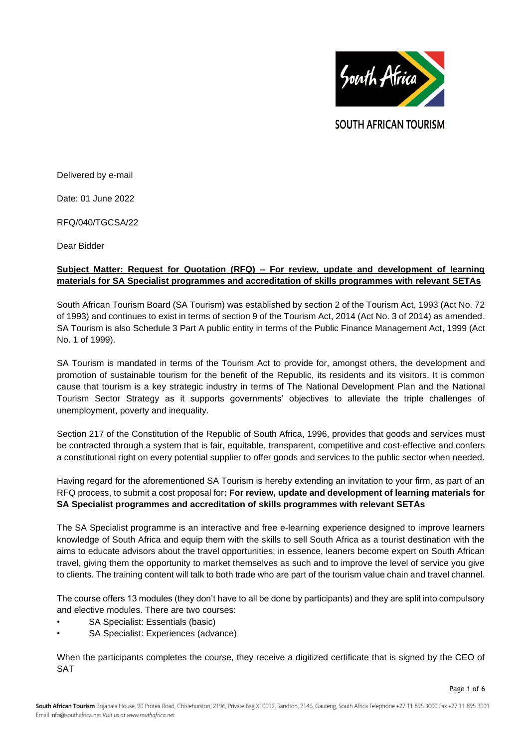

**SOUTH AFRICAN TOURISM** 

Delivered by e-mail

Date: 01 June 2022

RFQ/040/TGCSA/22

Dear Bidder

## **Subject Matter: Request for Quotation (RFQ) – For review, update and development of learning materials for SA Specialist programmes and accreditation of skills programmes with relevant SETAs**

South African Tourism Board (SA Tourism) was established by section 2 of the Tourism Act, 1993 (Act No. 72 of 1993) and continues to exist in terms of section 9 of the Tourism Act, 2014 (Act No. 3 of 2014) as amended. SA Tourism is also Schedule 3 Part A public entity in terms of the Public Finance Management Act, 1999 (Act No. 1 of 1999).

SA Tourism is mandated in terms of the Tourism Act to provide for, amongst others, the development and promotion of sustainable tourism for the benefit of the Republic, its residents and its visitors. It is common cause that tourism is a key strategic industry in terms of The National Development Plan and the National Tourism Sector Strategy as it supports governments' objectives to alleviate the triple challenges of unemployment, poverty and inequality.

Section 217 of the Constitution of the Republic of South Africa, 1996, provides that goods and services must be contracted through a system that is fair, equitable, transparent, competitive and cost-effective and confers a constitutional right on every potential supplier to offer goods and services to the public sector when needed.

Having regard for the aforementioned SA Tourism is hereby extending an invitation to your firm, as part of an RFQ process, to submit a cost proposal for**: For review, update and development of learning materials for SA Specialist programmes and accreditation of skills programmes with relevant SETAs**

The SA Specialist programme is an interactive and free e-learning experience designed to improve learners knowledge of South Africa and equip them with the skills to sell South Africa as a tourist destination with the aims to educate advisors about the travel opportunities; in essence, leaners become expert on South African travel, giving them the opportunity to market themselves as such and to improve the level of service you give to clients. The training content will talk to both trade who are part of the tourism value chain and travel channel.

The course offers 13 modules (they don't have to all be done by participants) and they are split into compulsory and elective modules. There are two courses:

- SA Specialist: Essentials (basic)
- SA Specialist: Experiences (advance)

When the participants completes the course, they receive a digitized certificate that is signed by the CEO of **SAT**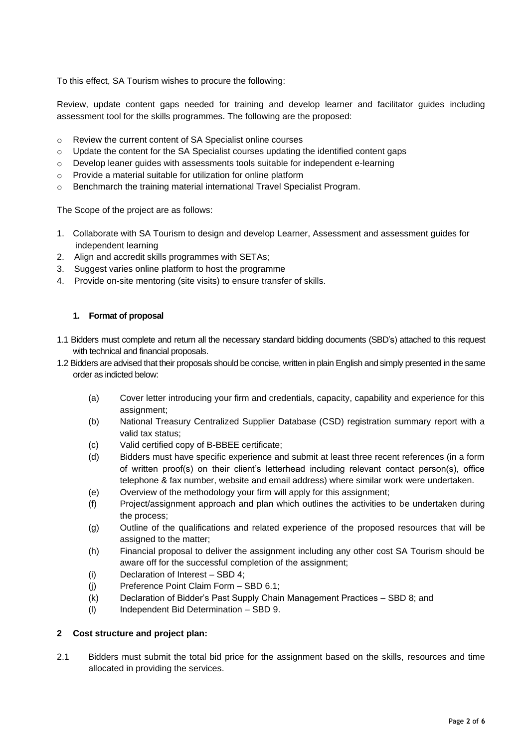To this effect, SA Tourism wishes to procure the following:

Review, update content gaps needed for training and develop learner and facilitator guides including assessment tool for the skills programmes. The following are the proposed:

- o Review the current content of SA Specialist online courses
- $\circ$  Update the content for the SA Specialist courses updating the identified content gaps
- o Develop leaner guides with assessments tools suitable for independent e-learning
- o Provide a material suitable for utilization for online platform
- $\circ$  Benchmarch the training material international Travel Specialist Program.

The Scope of the project are as follows:

- 1. Collaborate with SA Tourism to design and develop Learner, Assessment and assessment guides for independent learning
- 2. Align and accredit skills programmes with SETAs;
- 3. Suggest varies online platform to host the programme
- 4. Provide on-site mentoring (site visits) to ensure transfer of skills.

## **1. Format of proposal**

- 1.1 Bidders must complete and return all the necessary standard bidding documents (SBD's) attached to this request with technical and financial proposals.
- 1.2 Bidders are advised that their proposals should be concise, written in plain English and simply presented in the same order as indicted below:
	- (a) Cover letter introducing your firm and credentials, capacity, capability and experience for this assignment;
	- (b) National Treasury Centralized Supplier Database (CSD) registration summary report with a valid tax status;
	- (c) Valid certified copy of B-BBEE certificate;
	- (d) Bidders must have specific experience and submit at least three recent references (in a form of written proof(s) on their client's letterhead including relevant contact person(s), office telephone & fax number, website and email address) where similar work were undertaken.
	- (e) Overview of the methodology your firm will apply for this assignment;
	- (f) Project/assignment approach and plan which outlines the activities to be undertaken during the process;
	- (g) Outline of the qualifications and related experience of the proposed resources that will be assigned to the matter;
	- (h) Financial proposal to deliver the assignment including any other cost SA Tourism should be aware off for the successful completion of the assignment;
	- (i) Declaration of Interest SBD 4;
	- (j) Preference Point Claim Form SBD 6.1;
	- (k) Declaration of Bidder's Past Supply Chain Management Practices SBD 8; and
	- (l) Independent Bid Determination SBD 9.

### **2 Cost structure and project plan:**

2.1 Bidders must submit the total bid price for the assignment based on the skills, resources and time allocated in providing the services.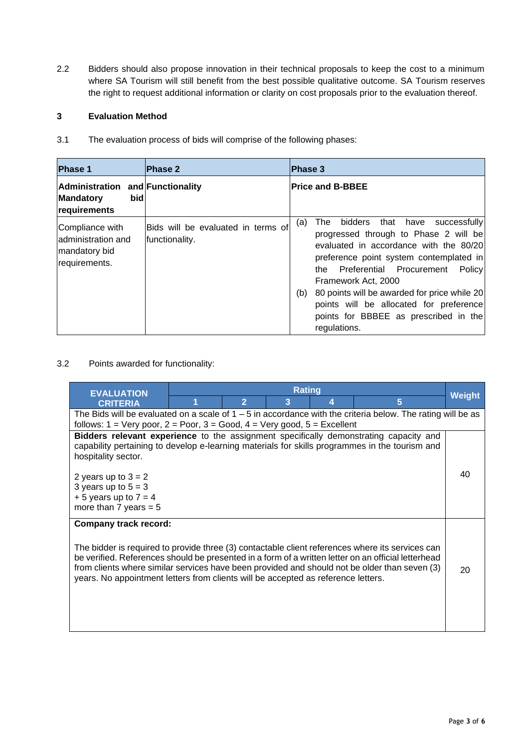2.2 Bidders should also propose innovation in their technical proposals to keep the cost to a minimum where SA Tourism will still benefit from the best possible qualitative outcome. SA Tourism reserves the right to request additional information or clarity on cost proposals prior to the evaluation thereof.

# **3 Evaluation Method**

| <b>Phase 1</b>                                                              | <b>Phase 2</b>                                       | <b>Phase 3</b>                                                                                                                                                                                                                                                                                                                                                                                               |
|-----------------------------------------------------------------------------|------------------------------------------------------|--------------------------------------------------------------------------------------------------------------------------------------------------------------------------------------------------------------------------------------------------------------------------------------------------------------------------------------------------------------------------------------------------------------|
| Administration and Functionality<br>bid<br><b>Mandatory</b><br>requirements |                                                      | <b>Price and B-BBEE</b>                                                                                                                                                                                                                                                                                                                                                                                      |
| Compliance with<br>administration and<br>mandatory bid<br>requirements.     | Bids will be evaluated in terms of<br>functionality. | bidders<br>that have successfully<br>The<br>(a)<br>progressed through to Phase 2 will be<br>evaluated in accordance with the 80/20<br>preference point system contemplated in<br>Preferential Procurement<br>Policy<br>the<br>Framework Act, 2000<br>80 points will be awarded for price while 20<br>(b)<br>points will be allocated for preference<br>points for BBBEE as prescribed in the<br>regulations. |

3.1 The evaluation process of bids will comprise of the following phases:

## 3.2 Points awarded for functionality:

| <b>EVALUATION</b>                                                                                                                                                                                                                                                                                                                                                                                                             | <b>Rating</b> |                |   |   |    | Weight |
|-------------------------------------------------------------------------------------------------------------------------------------------------------------------------------------------------------------------------------------------------------------------------------------------------------------------------------------------------------------------------------------------------------------------------------|---------------|----------------|---|---|----|--------|
| <b>CRITERIA</b>                                                                                                                                                                                                                                                                                                                                                                                                               |               | $\overline{2}$ | 3 | 4 | 5  |        |
| The Bids will be evaluated on a scale of $1 - 5$ in accordance with the criteria below. The rating will be as<br>follows: $1 = \text{Very poor}, 2 = \text{Poor}, 3 = \text{Good}, 4 = \text{Very good}, 5 = \text{Excellent}$                                                                                                                                                                                                |               |                |   |   |    |        |
| Bidders relevant experience to the assignment specifically demonstrating capacity and<br>capability pertaining to develop e-learning materials for skills programmes in the tourism and<br>hospitality sector.<br>2 years up to $3 = 2$<br>3 years up to $5 = 3$<br>+ 5 years up to $7 = 4$<br>more than 7 years = $5$                                                                                                        |               |                |   |   | 40 |        |
| <b>Company track record:</b><br>The bidder is required to provide three (3) contactable client references where its services can<br>be verified. References should be presented in a form of a written letter on an official letterhead<br>from clients where similar services have been provided and should not be older than seven (3)<br>years. No appointment letters from clients will be accepted as reference letters. |               |                |   |   | 20 |        |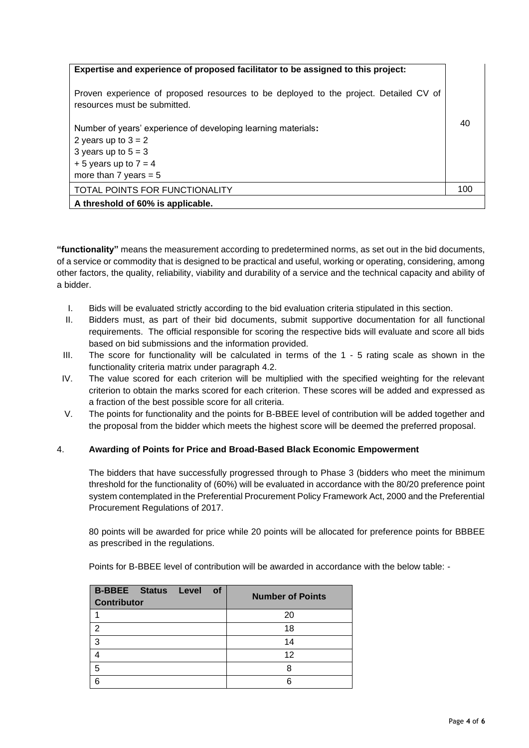| Expertise and experience of proposed facilitator to be assigned to this project:                                                                                      |     |
|-----------------------------------------------------------------------------------------------------------------------------------------------------------------------|-----|
| Proven experience of proposed resources to be deployed to the project. Detailed CV of<br>resources must be submitted.                                                 |     |
| Number of years' experience of developing learning materials:<br>2 years up to $3 = 2$<br>3 years up to $5 = 3$<br>+ 5 years up to $7 = 4$<br>more than 7 years $= 5$ | 40  |
| TOTAL POINTS FOR FUNCTIONALITY                                                                                                                                        | 100 |
| A threshold of 60% is applicable.                                                                                                                                     |     |

**"functionality"** means the measurement according to predetermined norms, as set out in the bid documents, of a service or commodity that is designed to be practical and useful, working or operating, considering, among other factors, the quality, reliability, viability and durability of a service and the technical capacity and ability of a bidder.

- I. Bids will be evaluated strictly according to the bid evaluation criteria stipulated in this section.
- II. Bidders must, as part of their bid documents, submit supportive documentation for all functional requirements. The official responsible for scoring the respective bids will evaluate and score all bids based on bid submissions and the information provided.
- III. The score for functionality will be calculated in terms of the 1 5 rating scale as shown in the functionality criteria matrix under paragraph 4.2.
- IV. The value scored for each criterion will be multiplied with the specified weighting for the relevant criterion to obtain the marks scored for each criterion. These scores will be added and expressed as a fraction of the best possible score for all criteria.
- V. The points for functionality and the points for B-BBEE level of contribution will be added together and the proposal from the bidder which meets the highest score will be deemed the preferred proposal.

# 4. **Awarding of Points for Price and Broad-Based Black Economic Empowerment**

The bidders that have successfully progressed through to Phase 3 (bidders who meet the minimum threshold for the functionality of (60%) will be evaluated in accordance with the 80/20 preference point system contemplated in the Preferential Procurement Policy Framework Act, 2000 and the Preferential Procurement Regulations of 2017.

80 points will be awarded for price while 20 points will be allocated for preference points for BBBEE as prescribed in the regulations.

Points for B-BBEE level of contribution will be awarded in accordance with the below table: -

| <b>B-BBEE Status Level of</b><br><b>Contributor</b> | <b>Number of Points</b> |
|-----------------------------------------------------|-------------------------|
|                                                     | 20                      |
| 2                                                   | 18                      |
| 3                                                   | 14                      |
|                                                     | 12                      |
| 5                                                   |                         |
| ี                                                   |                         |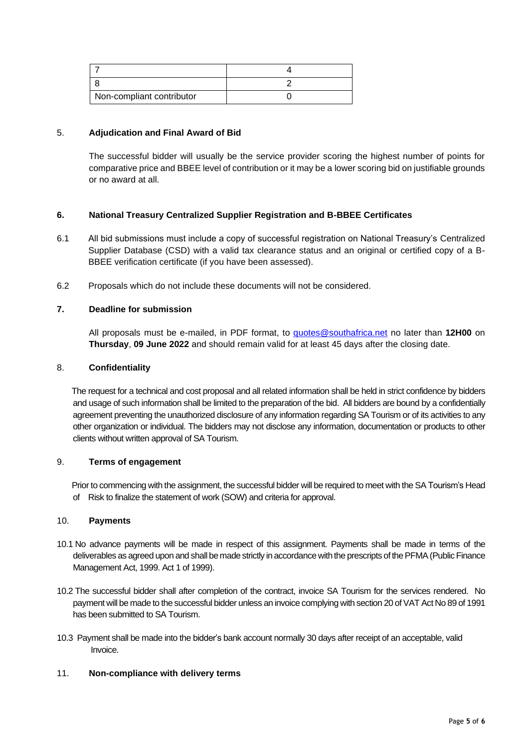| Non-compliant contributor |  |
|---------------------------|--|

### 5. **Adjudication and Final Award of Bid**

The successful bidder will usually be the service provider scoring the highest number of points for comparative price and BBEE level of contribution or it may be a lower scoring bid on justifiable grounds or no award at all.

## **6. National Treasury Centralized Supplier Registration and B-BBEE Certificates**

- 6.1 All bid submissions must include a copy of successful registration on National Treasury's Centralized Supplier Database (CSD) with a valid tax clearance status and an original or certified copy of a B-BBEE verification certificate (if you have been assessed).
- 6.2 Proposals which do not include these documents will not be considered.

## **7. Deadline for submission**

All proposals must be e-mailed, in PDF format, to [quotes@southafrica.net](mailto:quotes@southafrica.net) no later than **12H00** on **Thursday**, **09 June 2022** and should remain valid for at least 45 days after the closing date.

### 8. **Confidentiality**

 The request for a technical and cost proposal and all related information shall be held in strict confidence by bidders and usage of such information shall be limited to the preparation of the bid. All bidders are bound by a confidentially agreement preventing the unauthorized disclosure of any information regarding SA Tourism or of its activities to any other organization or individual. The bidders may not disclose any information, documentation or products to other clients without written approval of SA Tourism.

### 9. **Terms of engagement**

 Prior to commencing with the assignment, the successful bidder will be required to meet with the SA Tourism's Head of Risk to finalize the statement of work (SOW) and criteria for approval.

### 10. **Payments**

- 10.1 No advance payments will be made in respect of this assignment. Payments shall be made in terms of the deliverables as agreed upon and shall be made strictly in accordance with the prescripts of the PFMA (Public Finance Management Act, 1999. Act 1 of 1999).
- 10.2 The successful bidder shall after completion of the contract, invoice SA Tourism for the services rendered. No payment will be made to the successful bidder unless an invoice complying with section 20 of VAT Act No 89 of 1991 has been submitted to SA Tourism.
- 10.3 Payment shall be made into the bidder's bank account normally 30 days after receipt of an acceptable, valid Invoice.

### 11. **Non-compliance with delivery terms**